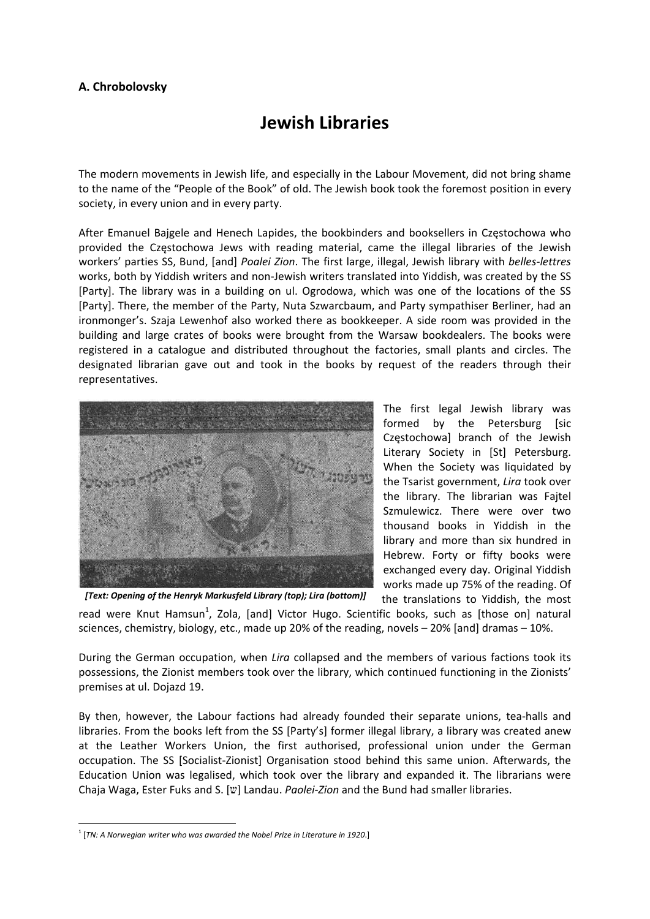## **A. Chrobolovsky**

## **Jewish Libraries**

The modern movements in Jewish life, and especially in the Labour Movement, did not bring shame to the name of the "People of the Book" of old. The Jewish book took the foremost position in every society, in every union and in every party.

After Emanuel Bajgele and Henech Lapides, the bookbinders and booksellers in Częstochowa who provided the Częstochowa Jews with reading material, came the illegal libraries of the Jewish workers' parties SS, Bund, [and] *Poalei Zion*. The first large, illegal, Jewish library with *belles‐lettres* works, both by Yiddish writers and non-Jewish writers translated into Yiddish, was created by the SS [Party]. The library was in a building on ul. Ogrodowa, which was one of the locations of the SS [Party]. There, the member of the Party, Nuta Szwarcbaum, and Party sympathiser Berliner, had an ironmonger's. Szaja Lewenhof also worked there as bookkeeper. A side room was provided in the building and large crates of books were brought from the Warsaw bookdealers. The books were registered in a catalogue and distributed throughout the factories, small plants and circles. The designated librarian gave out and took in the books by request of the readers through their representatives.



The first legal Jewish library was formed by the Petersburg [sic Częstochowa] branch of the Jewish Literary Society in [St] Petersburg. When the Society was liquidated by the Tsarist government, *Lira* took over the library. The librarian was Fajtel Szmulewicz. There were over two thousand books in Yiddish in the library and more than six hundred in Hebrew. Forty or fifty books were exchanged every day. Original Yiddish works made up 75% of the reading. Of

the translations to Yiddish, the most read were Knut Hamsun<sup>1</sup>, Zola, [and] Victor Hugo. Scientific books, such as [those on] natural sciences, chemistry, biology, etc., made up 20% of the reading, novels – 20% [and] dramas – 10%. *[Text: Opening of the Henryk Markusfeld Library (top); Lira (bottom)]*

During the German occupation, when *Lira* collapsed and the members of various factions took its possessions, the Zionist members took over the library, which continued functioning in the Zionists' premises at ul. Dojazd 19.

By then, however, the Labour factions had already founded their separate unions, tea-halls and libraries. From the books left from the SS [Party's] former illegal library, a library was created anew at the Leather Workers Union, the first authorised, professional union under the German occupation. The SS [Socialist‐Zionist] Organisation stood behind this same union. Afterwards, the Education Union was legalised, which took over the library and expanded it. The librarians were Chaja Waga, Ester Fuks and S. [w] Landau. *Paolei-Zion* and the Bund had smaller libraries.

<sup>1</sup> [*TN: A Norwegian writer who was awarded the Nobel Prize in Literature in 1920*.]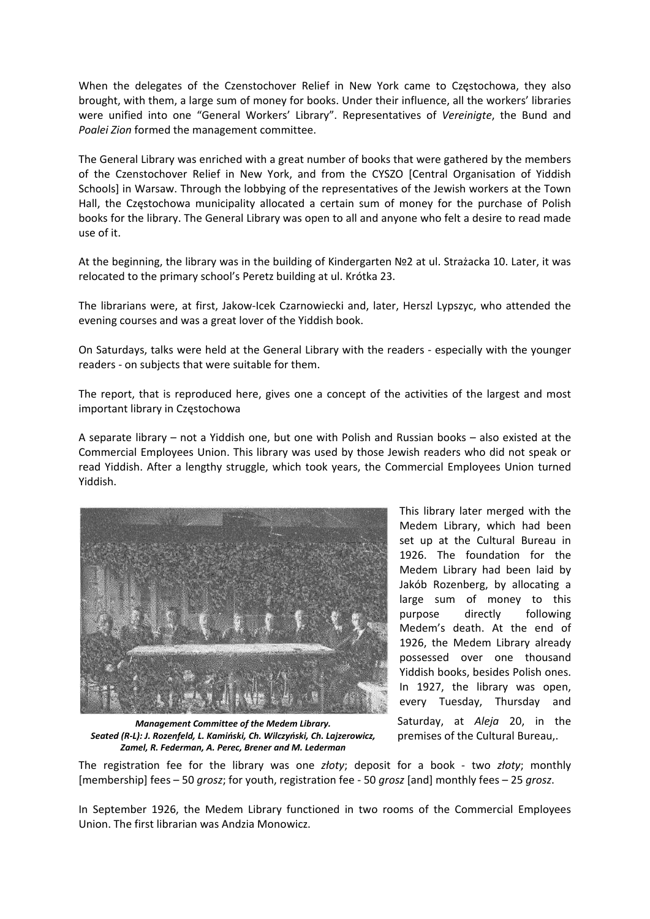When the delegates of the Czenstochover Relief in New York came to Częstochowa, they also brought, with them, a large sum of money for books. Under their influence, all the workers' libraries were unified into one "General Workers' Library". Representatives of *Vereinigte*, the Bund and *Poalei Zion* formed the management committee.

The General Library was enriched with a great number of books that were gathered by the members of the Czenstochover Relief in New York, and from the CYSZO [Central Organisation of Yiddish Schools] in Warsaw. Through the lobbying of the representatives of the Jewish workers at the Town Hall, the Częstochowa municipality allocated a certain sum of money for the purchase of Polish books for the library. The General Library was open to all and anyone who felt a desire to read made use of it.

At the beginning, the library was in the building of Kindergarten №2 at ul. Strażacka 10. Later, it was relocated to the primary school's Peretz building at ul. Krótka 23.

The librarians were, at first, Jakow‐Icek Czarnowiecki and, later, Herszl Lypszyc, who attended the evening courses and was a great lover of the Yiddish book.

On Saturdays, talks were held at the General Library with the readers ‐ especially with the younger readers ‐ on subjects that were suitable for them.

The report, that is reproduced here, gives one a concept of the activities of the largest and most important library in Częstochowa

A separate library – not a Yiddish one, but one with Polish and Russian books – also existed at the Commercial Employees Union. This library was used by those Jewish readers who did not speak or read Yiddish. After a lengthy struggle, which took years, the Commercial Employees Union turned Yiddish.



This library later merged with the Medem Library, which had been set up at the Cultural Bureau in 1926. The foundation for the Medem Library had been laid by Jakób Rozenberg, by allocating a large sum of money to this purpose directly following Medem's death. At the end of 1926, the Medem Library already possessed over one thousand Yiddish books, besides Polish ones. In 1927, the library was open, every Tuesday, Thursday and Saturday, at *Aleja* 20, in the premises of the Cultural Bureau,.

*Management Committee of the Medem Library. Seated (R‐L): J. Rozenfeld, L. Kamiński, Ch. Wilczyński, Ch. Lajzerowicz, Zamel, R. Federman, A. Perec, Brener and M. Lederman* 

The registration fee for the library was one *złoty*; deposit for a book ‐ two *złoty*; monthly [membership] fees – 50 *grosz*; for youth, registration fee ‐ 50 *grosz* [and] monthly fees – 25 *grosz*.

In September 1926, the Medem Library functioned in two rooms of the Commercial Employees Union. The first librarian was Andzia Monowicz.